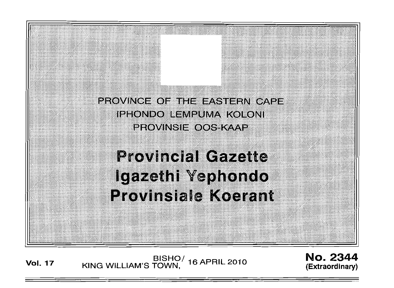PROVINCE OF THE EASTERN CAPE IPHONDO LEMPUMA KOLONI PROVINSIE OOS KAAP

**Provincial Gazette** Igazethi Yephondo **Provinsiale Koerant** 

BISHO/ 16 APRIL 2010<br>KING WILLIAM'S TOWN, **Vol. 17** 

**No. 2344** (Extraordinary)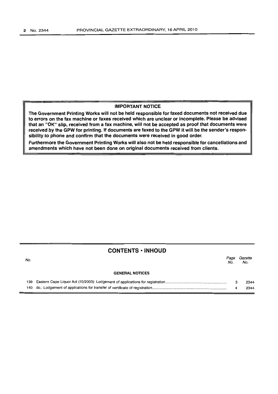## IMPORTANT NOTICE

The Government Printing Works will not be held responsible for faxed documents not received due to errors on the fax machine or faxes received which are unclear or incomplete. Please be advised that an "OK" slip. received from a fax machine, will not be accepted as proof that documents were received by the GPW for printing. If documents are faxed to the GPW it will be the sender's responsibility to phone and confirm that the documents were received in good order.

Furthermore the Government Printing Works will also not be held responsible for cancellations and amendments which have not been done on original documents received from clients.

### **CONTENTS ·INHOUD**

| No. |                        | No. | Page Gazette<br>No. |
|-----|------------------------|-----|---------------------|
|     | <b>GENERAL NOTICES</b> |     |                     |
|     |                        |     | 2344                |

4

2344

140 do.: Lodgement of applications for transfer of certificate of registration......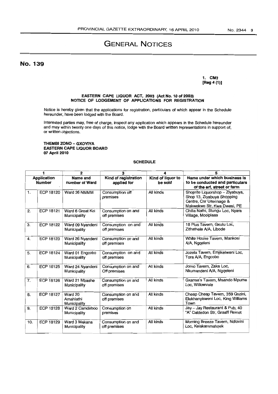# GENERAL NOTICES

No. 139

1. CM3 [Reg 4 (1)]

#### EASTERN CAPE LIQUOR ACT, 2003 (Act No. 10 of 2003) NOTICE OF LODGEMENT OF APPLICATIONS FOR REGISTRATION

Notice is hereby given that the applications for registration, particulars of which appear in the Schedule hereunder, have been lodged with the Board.

Interested parties may. free of charge. inspect any application which appears in the Schedule hereunder and may within twenty one days of this notice, lodge with the Board written representations in support of, or written objections.

### THEMBI ZONO - GXOYlYA EASTERN CAPE UQUOR BOARD 07 April 2010

### SCHEDULE

| 1                                   |                  | 2                                    | 3                                   | 4                            | 5                                                                                                                       |
|-------------------------------------|------------------|--------------------------------------|-------------------------------------|------------------------------|-------------------------------------------------------------------------------------------------------------------------|
| <b>Application</b><br><b>Number</b> |                  | Name and<br>number of Ward           | Kind of registration<br>applied for | Kind of liquor to<br>be sold | Name under which business is<br>to be conducted and particulars<br>of the erf, street or farm                           |
| $\mathbf{1}$ .                      | ECP 18120        | Ward 36 NMMM                         | Consumption off<br>premises         | All kinds                    | Shoprite Liquorshop - Ziyabuya,<br>Shop 13, Ziyabuya Shopping<br>Centre, Cnr Uitenhage &<br>Makwekwe Str, Kwa Dwesi, PE |
| 2.                                  | ECP 18121        | Ward 6 Great Kei<br>Municipality     | Consumption on and<br>off premises  | All kinds                    | Chilla Nathi, Stungu Loc, Nyara<br>Village, Mooiplaas                                                                   |
| 3.                                  | ECP 18122        | Ward 09 Nyandeni<br>Municipality     | Consumption on and<br>off premises  | All kinds                    | 18 Plus Tavern, Gxulu Loc.<br>Zithathele A/A, Libode                                                                    |
| 4.                                  | ECP 18123        | Ward 26 Nyandeni<br>Municipality     | Consumption on and<br>off premises  | All kinds                    | White House Tavern, Mankosi<br>A/A, Nggeleni                                                                            |
| 5.                                  | ECP 18124        | Ward 01 Engcobo<br>Municipality      | Consumption on and<br>off premises  | All kinds                    | Jozela Tavern, Emjikelweni Loc,<br>Tora A/A, Engcobo                                                                    |
| 6.                                  | <b>ECP 18125</b> | Ward 24 Nyandeni<br>Municipality     | Consumption on and<br>Off premises  | All kinds                    | Jomo Tavern, Zaka Loc,<br>Nkumandeni A/A, Nggeleni                                                                      |
| 7.                                  | <b>ECP 18126</b> | Ward 21 Mbashe<br>Municipality       | Consumption on and<br>off premises  | All kinds                    | Gxansa's Tavern, Msando Mpume<br>Loc. Willowvale                                                                        |
| 8.                                  | <b>ECP 18127</b> | Ward 20<br>Amahlathi<br>Municipality | Consumption on and<br>off premises  | All kinds                    | Cheap Cheap Tavern, 359 Quzini,<br>Elukhanyisweni Loc, King Williams<br>Town                                            |
| 9.                                  | <b>ECP 18128</b> | Ward 2 Camdeboo<br>Municipality      | Consumption on<br>premises          | All kinds                    | Jay - Jay Restaurant & Pub, 40<br>"A" Caldedon Str, Graaff Reinet                                                       |
| 10.                                 | <b>ECP 18129</b> | Ward 3 Makana<br>Municipality        | Consumption on and<br>off premises  | All kinds                    | Morning Breeze Tavern, Ndlovini<br>Loc, Keiskammahoek                                                                   |